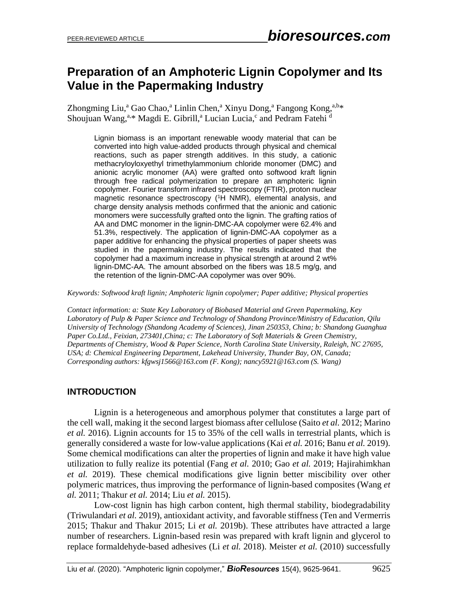# **Preparation of an Amphoteric Lignin Copolymer and Its Value in the Papermaking Industry**

Zhongming Liu,<sup>a</sup> Gao Chao,<sup>a</sup> Linlin Chen,<sup>a</sup> Xinyu Dong,<sup>a</sup> Fangong Kong,<sup>a,b</sup>\* Shoujuan Wang,<sup>a,\*</sup> Magdi E. Gibrill,<sup>a</sup> Lucian Lucia,<sup>c</sup> and Pedram Fatehi<sup>d</sup>

Lignin biomass is an important renewable woody material that can be converted into high value-added products through physical and chemical reactions, such as paper strength additives. In this study, a cationic methacryloyloxyethyl trimethylammonium chloride monomer (DMC) and anionic acrylic monomer (AA) were grafted onto softwood kraft lignin through free radical polymerization to prepare an amphoteric lignin copolymer. Fourier transform infrared spectroscopy (FTIR), proton nuclear magnetic resonance spectroscopy ( <sup>1</sup>H NMR), elemental analysis, and charge density analysis methods confirmed that the anionic and cationic monomers were successfully grafted onto the lignin. The grafting ratios of AA and DMC monomer in the lignin-DMC-AA copolymer were 62.4% and 51.3%, respectively. The application of lignin-DMC-AA copolymer as a paper additive for enhancing the physical properties of paper sheets was studied in the papermaking industry. The results indicated that the copolymer had a maximum increase in physical strength at around 2 wt% lignin-DMC-AA. The amount absorbed on the fibers was 18.5 mg/g, and the retention of the lignin-DMC-AA copolymer was over 90%.

*Keywords: Softwood kraft lignin; Amphoteric lignin copolymer; Paper additive; Physical properties*

*Contact information: a: State Key Laboratory of Biobased Material and Green Papermaking, Key Laboratory of Pulp & Paper Science and Technology of Shandong Province/Ministry of Education, Qilu University of Technology (Shandong Academy of Sciences), Jinan 250353, China; b: Shandong Guanghua Paper Co.Ltd., Feixian, 273401,China; c: The Laboratory of Soft Materials & Green Chemistry, Departments of Chemistry, Wood & Paper Science, North Carolina State University, Raleigh, NC 27695, USA; d: Chemical Engineering Department, Lakehead University, Thunder Bay, ON, Canada; Corresponding authors: kfgwsj1566@163.com (F. Kong); nancy5921@163.com (S. Wang)* 

# **INTRODUCTION**

Lignin is a heterogeneous and amorphous polymer that constitutes a large part of the cell wall, making it the second largest biomass after cellulose (Saito *et al.* 2012; Marino *et al.* 2016). Lignin accounts for 15 to 35% of the cell walls in terrestrial plants, which is generally considered a waste for low-value applications (Kai *et al.* 2016; Banu *et al.* 2019). Some chemical modifications can alter the properties of lignin and make it have high value utilization to fully realize its potential (Fang *et al.* 2010; Gao *et al.* 2019; Hajirahimkhan *et al.* 2019). These chemical modifications give lignin better miscibility over other polymeric matrices, thus improving the performance of lignin-based composites (Wang *et al.* 2011; Thakur *et al.* 2014; Liu *et al.* 2015).

Low-cost lignin has high carbon content, high thermal stability, biodegradability (Triwulandari *et al.* 2019), antioxidant activity, and favorable stiffness (Ten and Vermerris 2015; Thakur and Thakur 2015; Li *et al.* 2019b). These attributes have attracted a large number of researchers. Lignin-based resin was prepared with kraft lignin and glycerol to replace formaldehyde-based adhesives (Li *et al.* 2018). Meister *et al.* (2010) successfully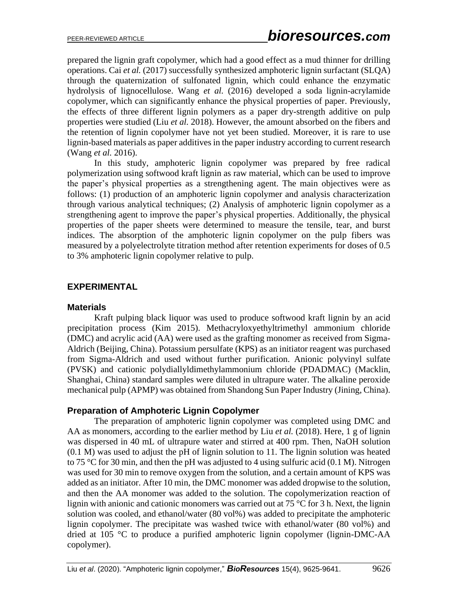prepared the lignin graft copolymer, which had a good effect as a mud thinner for drilling operations. Cai *et al.* (2017) successfully synthesized amphoteric lignin surfactant (SLQA) through the quaternization of sulfonated lignin, which could enhance the enzymatic hydrolysis of lignocellulose. Wang *et al.* (2016) developed a soda lignin-acrylamide copolymer, which can significantly enhance the physical properties of paper. Previously, the effects of three different lignin polymers as a paper dry-strength additive on pulp properties were studied (Liu *et al.* 2018). However, the amount absorbed on the fibers and the retention of lignin copolymer have not yet been studied. Moreover, it is rare to use lignin-based materials as paper additives in the paper industry according to current research (Wang *et al.* 2016).

In this study, amphoteric lignin copolymer was prepared by free radical polymerization using softwood kraft lignin as raw material, which can be used to improve the paper's physical properties as a strengthening agent. The main objectives were as follows: (1) production of an amphoteric lignin copolymer and analysis characterization through various analytical techniques; (2) Analysis of amphoteric lignin copolymer as a strengthening agent to improve the paper's physical properties. Additionally, the physical properties of the paper sheets were determined to measure the tensile, tear, and burst indices. The absorption of the amphoteric lignin copolymer on the pulp fibers was measured by a polyelectrolyte titration method after retention experiments for doses of 0.5 to 3% amphoteric lignin copolymer relative to pulp.

## **EXPERIMENTAL**

#### **Materials**

Kraft pulping black liquor was used to produce softwood kraft lignin by an acid precipitation process (Kim 2015). Methacryloxyethyltrimethyl ammonium chloride (DMC) and acrylic acid (AA) were used as the grafting monomer as received from Sigma-Aldrich (Beijing, China). Potassium persulfate (KPS) as an initiator reagent was purchased from Sigma-Aldrich and used without further purification. Anionic polyvinyl sulfate (PVSK) and cationic polydiallyldimethylammonium chloride (PDADMAC) (Macklin, Shanghai, China) standard samples were diluted in ultrapure water. The alkaline peroxide mechanical pulp (APMP) was obtained from Shandong Sun Paper Industry (Jining, China).

#### **Preparation of Amphoteric Lignin Copolymer**

The preparation of amphoteric lignin copolymer was completed using DMC and AA as monomers, according to the earlier method by Liu *et al.* (2018). Here, 1 g of lignin was dispersed in 40 mL of ultrapure water and stirred at 400 rpm. Then, NaOH solution (0.1 M) was used to adjust the pH of lignin solution to 11. The lignin solution was heated to 75 °C for 30 min, and then the pH was adjusted to 4 using sulfuric acid  $(0.1 M)$ . Nitrogen was used for 30 min to remove oxygen from the solution, and a certain amount of KPS was added as an initiator. After 10 min, the DMC monomer was added dropwise to the solution, and then the AA monomer was added to the solution. The copolymerization reaction of lignin with anionic and cationic monomers was carried out at 75 °C for 3 h. Next, the lignin solution was cooled, and ethanol/water (80 vol%) was added to precipitate the amphoteric lignin copolymer. The precipitate was washed twice with ethanol/water (80 vol%) and dried at 105 °C to produce a purified amphoteric lignin copolymer (lignin-DMC-AA copolymer).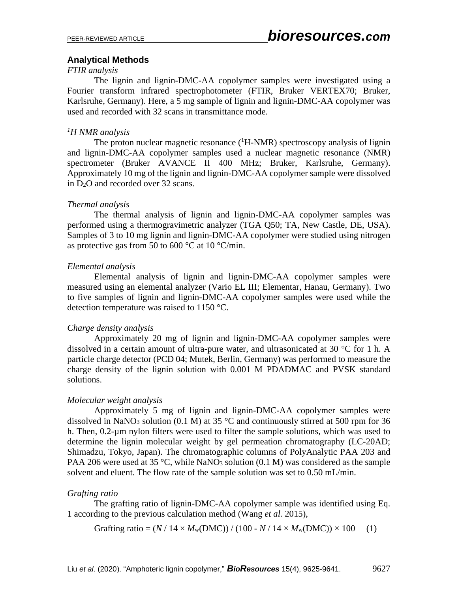#### **Analytical Methods**

#### *FTIR analysis*

The lignin and lignin-DMC-AA copolymer samples were investigated using a Fourier transform infrared spectrophotometer (FTIR, Bruker VERTEX70; Bruker, Karlsruhe, Germany). Here, a 5 mg sample of lignin and lignin-DMC-AA copolymer was used and recorded with 32 scans in transmittance mode.

## *<sup>1</sup>H NMR analysis*

The proton nuclear magnetic resonance  $({}^{1}H\text{-NMR})$  spectroscopy analysis of lignin and lignin-DMC-AA copolymer samples used a nuclear magnetic resonance (NMR) spectrometer (Bruker AVANCE II 400 MHz; Bruker, Karlsruhe, Germany). Approximately 10 mg of the lignin and lignin-DMC-AA copolymer sample were dissolved in D2O and recorded over 32 scans.

## *Thermal analysis*

The thermal analysis of lignin and lignin-DMC-AA copolymer samples was performed using a thermogravimetric analyzer (TGA Q50; TA, New Castle, DE, USA). Samples of 3 to 10 mg lignin and lignin-DMC-AA copolymer were studied using nitrogen as protective gas from 50 to 600  $^{\circ}$ C at 10  $^{\circ}$ C/min.

#### *Elemental analysis*

Elemental analysis of lignin and lignin-DMC-AA copolymer samples were measured using an elemental analyzer (Vario EL III; Elementar, Hanau, Germany). Two to five samples of lignin and lignin-DMC-AA copolymer samples were used while the detection temperature was raised to 1150 °C.

#### *Charge density analysis*

Approximately 20 mg of lignin and lignin-DMC-AA copolymer samples were dissolved in a certain amount of ultra-pure water, and ultrasonicated at 30 °C for 1 h. A particle charge detector (PCD 04; Mutek, Berlin, Germany) was performed to measure the charge density of the lignin solution with 0.001 M PDADMAC and PVSK standard solutions.

# *Molecular weight analysis*

Approximately 5 mg of lignin and lignin-DMC-AA copolymer samples were dissolved in NaNO<sub>3</sub> solution (0.1 M) at 35  $\degree$ C and continuously stirred at 500 rpm for 36 h. Then, 0.2-µm nylon filters were used to filter the sample solutions, which was used to determine the lignin molecular weight by gel permeation chromatography (LC-20AD; Shimadzu, Tokyo, Japan). The chromatographic columns of PolyAnalytic PAA 203 and PAA 206 were used at 35 °C, while NaNO<sub>3</sub> solution (0.1 M) was considered as the sample solvent and eluent. The flow rate of the sample solution was set to 0.50 mL/min.

#### *Grafting ratio*

The grafting ratio of lignin-DMC-AA copolymer sample was identified using Eq. 1 according to the previous calculation method (Wang *et al.* 2015),

Graffing ratio = 
$$
(N / 14 \times M_w(DMC)) / (100 - N / 14 \times M_w(DMC)) \times 100
$$
 (1)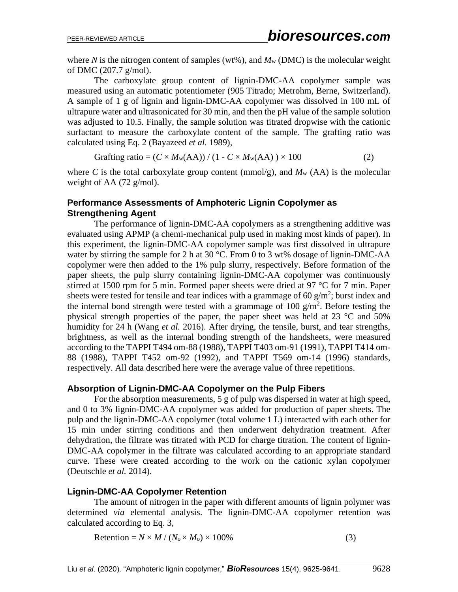where *N* is the nitrogen content of samples (wt%), and  $M_w$  (DMC) is the molecular weight of DMC (207.7 g/mol).

The carboxylate group content of lignin-DMC-AA copolymer sample was measured using an automatic potentiometer (905 Titrado; Metrohm, Berne, Switzerland). A sample of 1 g of lignin and lignin-DMC-AA copolymer was dissolved in 100 mL of ultrapure water and ultrasonicated for 30 min, and then the pH value of the sample solution was adjusted to 10.5. Finally, the sample solution was titrated dropwise with the cationic surfactant to measure the carboxylate content of the sample. The grafting ratio was calculated using Eq. 2 (Bayazeed *et al.* 1989),

$$
Graffing ratio = (C \times M_w(AA)) / (1 - C \times M_w(AA)) \times 100
$$
 (2)

where *C* is the total carboxylate group content (mmol/g), and  $M_w$  (AA) is the molecular weight of AA (72 g/mol).

#### **Performance Assessments of Amphoteric Lignin Copolymer as Strengthening Agent**

The performance of lignin-DMC-AA copolymers as a strengthening additive was evaluated using APMP (a chemi-mechanical pulp used in making most kinds of paper). In this experiment, the lignin-DMC-AA copolymer sample was first dissolved in ultrapure water by stirring the sample for 2 h at 30 °C. From 0 to 3 wt% dosage of lignin-DMC-AA copolymer were then added to the 1% pulp slurry, respectively. Before formation of the paper sheets, the pulp slurry containing lignin-DMC-AA copolymer was continuously stirred at 1500 rpm for 5 min. Formed paper sheets were dried at 97 °C for 7 min. Paper sheets were tested for tensile and tear indices with a grammage of 60  $g/m^2$ ; burst index and the internal bond strength were tested with a grammage of 100  $g/m<sup>2</sup>$ . Before testing the physical strength properties of the paper, the paper sheet was held at 23 °C and 50% humidity for 24 h (Wang *et al.* 2016). After drying, the tensile, burst, and tear strengths, brightness, as well as the internal bonding strength of the handsheets, were measured according to the TAPPI T494 om-88 (1988), TAPPI T403 om-91 (1991), TAPPI T414 om-88 (1988), TAPPI T452 om-92 (1992), and TAPPI T569 om-14 (1996) standards, respectively. All data described here were the average value of three repetitions.

#### **Absorption of Lignin-DMC-AA Copolymer on the Pulp Fibers**

For the absorption measurements, 5 g of pulp was dispersed in water at high speed, and 0 to 3% lignin-DMC-AA copolymer was added for production of paper sheets. The pulp and the lignin-DMC-AA copolymer (total volume 1 L) interacted with each other for 15 min under stirring conditions and then underwent dehydration treatment. After dehydration, the filtrate was titrated with PCD for charge titration. The content of lignin-DMC-AA copolymer in the filtrate was calculated according to an appropriate standard curve. These were created according to the work on the cationic xylan copolymer (Deutschle *et al.* 2014).

#### **Lignin-DMC-AA Copolymer Retention**

The amount of nitrogen in the paper with different amounts of lignin polymer was determined *via* elemental analysis. The lignin-DMC-AA copolymer retention was calculated according to Eq. 3,

Retention =  $N \times M / (N_0 \times M_0) \times 100\%$  (3)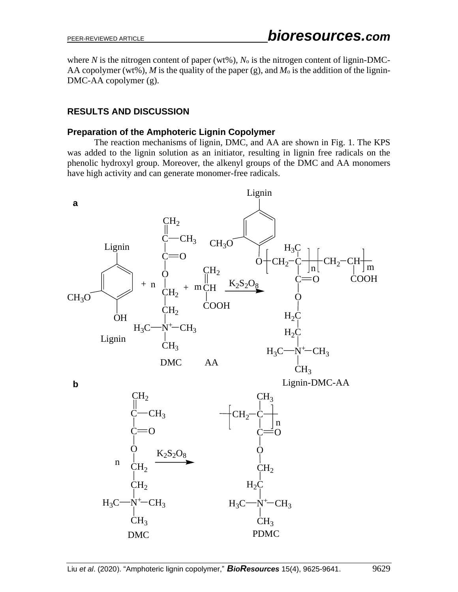where *N* is the nitrogen content of paper (wt%),  $N_0$  is the nitrogen content of lignin-DMC-AA copolymer (wt%), M is the quality of the paper (g), and  $M_0$  is the addition of the lignin-DMC-AA copolymer (g).

# **RESULTS AND DISCUSSION**

#### **Preparation of the Amphoteric Lignin Copolymer**

The reaction mechanisms of lignin, DMC, and AA are shown in Fig. 1. The KPS was added to the lignin solution as an initiator, resulting in lignin free radicals on the phenolic hydroxyl group. Moreover, the alkenyl groups of the DMC and AA monomers have high activity and can generate monomer-free radicals.

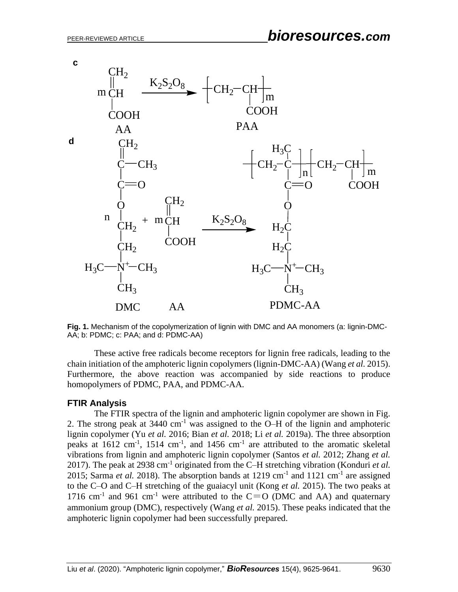





These active free radicals become receptors for lignin free radicals, leading to the chain initiation of the amphoteric lignin copolymers (lignin-DMC-AA) (Wang *et al.* 2015). Furthermore, the above reaction was accompanied by side reactions to produce homopolymers of PDMC, PAA, and PDMC-AA.

#### **FTIR Analysis**

The FTIR spectra of the lignin and amphoteric lignin copolymer are shown in Fig. 2. The strong peak at  $3440 \text{ cm}^{-1}$  was assigned to the O–H of the lignin and amphoteric lignin copolymer (Yu *et al.* 2016; Bian *et al.* 2018; Li *et al.* 2019a). The three absorption peaks at  $1612 \text{ cm}^{-1}$ ,  $1514 \text{ cm}^{-1}$ , and  $1456 \text{ cm}^{-1}$  are attributed to the aromatic skeletal vibrations from lignin and amphoteric lignin copolymer (Santos *et al.* 2012; Zhang *et al.* 2017). The peak at 2938 cm-1 originated from the C–H stretching vibration (Konduri *et al.* 2015; Sarma *et al.* 2018). The absorption bands at  $1219 \text{ cm}^{-1}$  and  $1121 \text{ cm}^{-1}$  are assigned to the C–O and C–H stretching of the guaiacyl unit (Kong *et al.* 2015). The two peaks at 1716 cm<sup>-1</sup> and 961 cm<sup>-1</sup> were attributed to the C=O (DMC and AA) and quaternary ammonium group (DMC), respectively (Wang *et al.* 2015). These peaks indicated that the amphoteric lignin copolymer had been successfully prepared.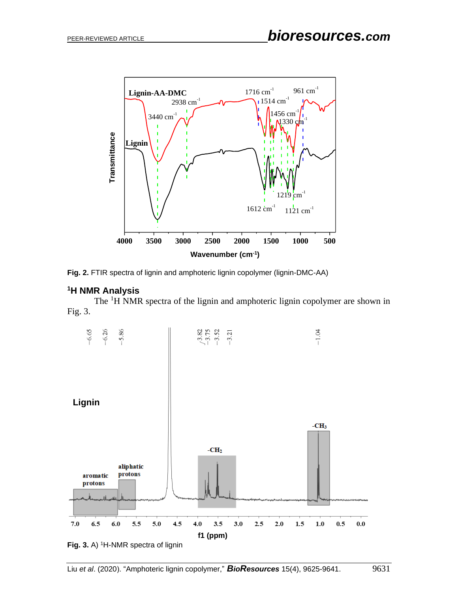



#### **<sup>1</sup>H NMR Analysis**

The <sup>1</sup>H NMR spectra of the lignin and amphoteric lignin copolymer are shown in Fig. 3.



**Fig. 3.** A) <sup>1</sup>H-NMR spectra of lignin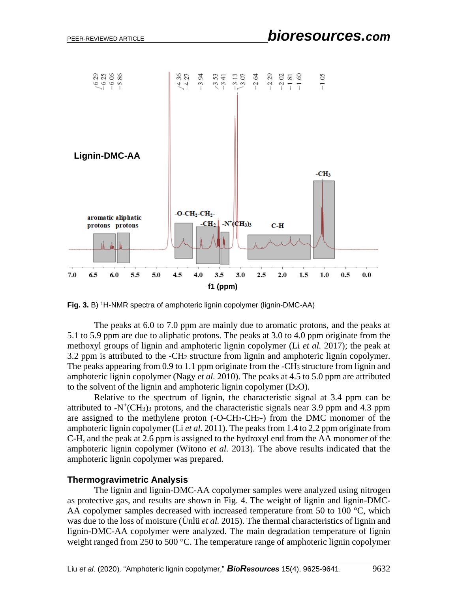

**Fig. 3.** B) <sup>1</sup>H-NMR spectra of amphoteric lignin copolymer (lignin-DMC-AA)

The peaks at 6.0 to 7.0 ppm are mainly due to aromatic protons, and the peaks at 5.1 to 5.9 ppm are due to aliphatic protons. The peaks at 3.0 to 4.0 ppm originate from the methoxyl groups of lignin and amphoteric lignin copolymer (Li *et al.* 2017); the peak at 3.2 ppm is attributed to the -CH<sup>2</sup> structure from lignin and amphoteric lignin copolymer. The peaks appearing from 0.9 to 1.1 ppm originate from the  $-CH_3$  structure from lignin and amphoteric lignin copolymer (Nagy *et al.* 2010). The peaks at 4.5 to 5.0 ppm are attributed to the solvent of the lignin and amphoteric lignin copolymer  $(D_2O)$ .

Relative to the spectrum of lignin, the characteristic signal at 3.4 ppm can be attributed to  $-N^+(CH_3)$  protons, and the characteristic signals near 3.9 ppm and 4.3 ppm are assigned to the methylene proton  $(-O-CH_2-CH_2)$  from the DMC monomer of the amphoteric lignin copolymer (Li *et al.* 2011). The peaks from 1.4 to 2.2 ppm originate from C-H, and the peak at 2.6 ppm is assigned to the hydroxyl end from the AA monomer of the amphoteric lignin copolymer (Witono *et al.* 2013). The above results indicated that the amphoteric lignin copolymer was prepared.

#### **Thermogravimetric Analysis**

The lignin and lignin-DMC-AA copolymer samples were analyzed using nitrogen as protective gas, and results are shown in Fig. 4. The weight of lignin and lignin-DMC-AA copolymer samples decreased with increased temperature from 50 to 100 °C, which was due to the loss of moisture (Ünlü *et al.* 2015). The thermal characteristics of lignin and lignin-DMC-AA copolymer were analyzed. The main degradation temperature of lignin weight ranged from 250 to 500 °C. The temperature range of amphoteric lignin copolymer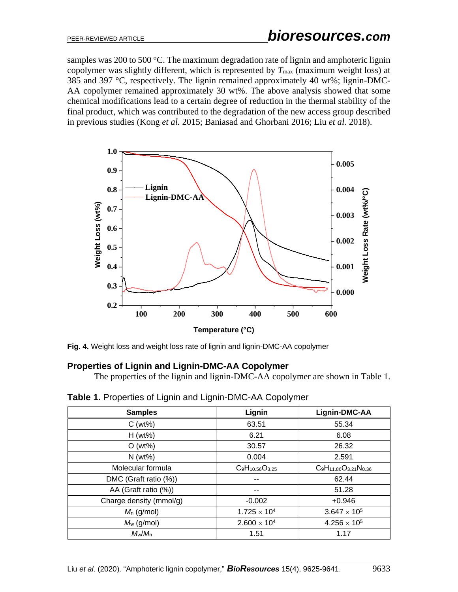samples was 200 to 500  $\degree$ C. The maximum degradation rate of lignin and amphoteric lignin copolymer was slightly different, which is represented by *T*max (maximum weight loss) at 385 and 397 °C, respectively. The lignin remained approximately 40 wt%; lignin-DMC-AA copolymer remained approximately 30 wt%. The above analysis showed that some chemical modifications lead to a certain degree of reduction in the thermal stability of the final product, which was contributed to the degradation of the new access group described in previous studies (Kong *et al.* 2015; Baniasad and Ghorbani 2016; Liu *et al.* 2018).



**Fig. 4.** Weight loss and weight loss rate of lignin and lignin-DMC-AA copolymer

#### **Properties of Lignin and Lignin-DMC-AA Copolymer**

The properties of the lignin and lignin-DMC-AA copolymer are shown in Table 1.

| <b>Samples</b>          | Lignin                 | Lignin-DMC-AA                  |
|-------------------------|------------------------|--------------------------------|
| $C(wt\%)$               | 63.51                  | 55.34                          |
| $H (wt\%)$              | 6.21                   | 6.08                           |
| $O(wt\%)$               | 30.57                  | 26.32                          |
| $N$ (wt%)               | 0.004                  | 2.591                          |
| Molecular formula       | $C_9H_{10.56}O_{3.25}$ | $C_9H_{11.86}O_{3.21}N_{0.36}$ |
| DMC (Graft ratio (%))   |                        | 62.44                          |
| AA (Graft ratio (%))    |                        | 51.28                          |
| Charge density (mmol/g) | $-0.002$               | $+0.946$                       |
| $M_n$ (g/mol)           | $1.725 \times 10^{4}$  | $3.647 \times 10^{5}$          |
| $M_w$ (g/mol)           | $2.600 \times 10^{4}$  | $4.256 \times 10^{5}$          |
| $M_w/M_n$               | 1.51                   | 1.17                           |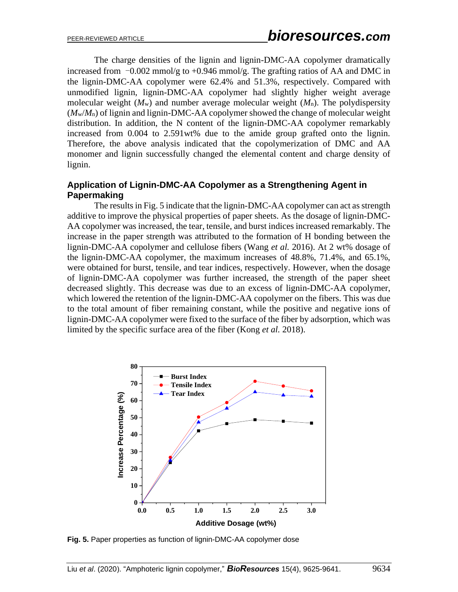The charge densities of the lignin and lignin-DMC-AA copolymer dramatically increased from  $-0.002$  mmol/g to  $+0.946$  mmol/g. The grafting ratios of AA and DMC in the lignin-DMC-AA copolymer were 62.4% and 51.3%, respectively. Compared with unmodified lignin, lignin-DMC-AA copolymer had slightly higher weight average molecular weight (*M*w) and number average molecular weight (*M*n). The polydispersity (*M*w/*M*n) of lignin and lignin-DMC-AA copolymer showed the change of molecular weight distribution. In addition, the N content of the lignin-DMC-AA copolymer remarkably increased from 0.004 to 2.591wt% due to the amide group grafted onto the lignin. Therefore, the above analysis indicated that the copolymerization of DMC and AA monomer and lignin successfully changed the elemental content and charge density of lignin.

## **Application of Lignin-DMC-AA Copolymer as a Strengthening Agent in Papermaking**

The results in Fig. 5 indicate that the lignin-DMC-AA copolymer can act as strength additive to improve the physical properties of paper sheets. As the dosage of lignin-DMC-AA copolymer was increased, the tear, tensile, and burst indices increased remarkably. The increase in the paper strength was attributed to the formation of H bonding between the lignin-DMC-AA copolymer and cellulose fibers (Wang *et al.* 2016). At 2 wt% dosage of the lignin-DMC-AA copolymer, the maximum increases of 48.8%, 71.4%, and 65.1%, were obtained for burst, tensile, and tear indices, respectively. However, when the dosage of lignin-DMC-AA copolymer was further increased, the strength of the paper sheet decreased slightly. This decrease was due to an excess of lignin-DMC-AA copolymer, which lowered the retention of the lignin-DMC-AA copolymer on the fibers. This was due to the total amount of fiber remaining constant, while the positive and negative ions of lignin-DMC-AA copolymer were fixed to the surface of the fiber by adsorption, which was limited by the specific surface area of the fiber (Kong *et al.* 2018).



**Fig. 5.** Paper properties as function of lignin-DMC-AA copolymer dose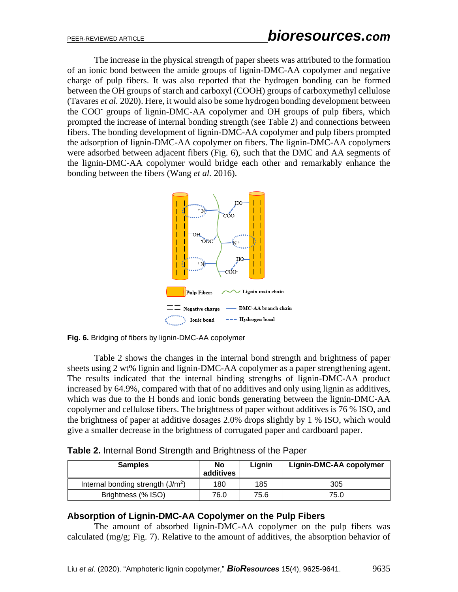The increase in the physical strength of paper sheets was attributed to the formation of an ionic bond between the amide groups of lignin-DMC-AA copolymer and negative charge of pulp fibers. It was also reported that the hydrogen bonding can be formed between the OH groups of starch and carboxyl (COOH) groups of carboxymethyl cellulose (Tavares *et al.* 2020). Here, it would also be some hydrogen bonding development between the COO- groups of lignin-DMC-AA copolymer and OH groups of pulp fibers, which prompted the increase of internal bonding strength (see Table 2) and connections between fibers. The bonding development of lignin-DMC-AA copolymer and pulp fibers prompted the adsorption of lignin-DMC-AA copolymer on fibers. The lignin-DMC-AA copolymers were adsorbed between adjacent fibers (Fig. 6), such that the DMC and AA segments of the lignin-DMC-AA copolymer would bridge each other and remarkably enhance the bonding between the fibers (Wang *et al.* 2016).



**Fig. 6.** Bridging of fibers by lignin-DMC-AA copolymer

Table 2 shows the changes in the internal bond strength and brightness of paper sheets using 2 wt% lignin and lignin-DMC-AA copolymer as a paper strengthening agent. The results indicated that the internal binding strengths of lignin-DMC-AA product increased by 64.9%, compared with that of no additives and only using lignin as additives, which was due to the H bonds and ionic bonds generating between the lignin-DMC-AA copolymer and cellulose fibers. The brightness of paper without additives is 76 % ISO, and the brightness of paper at additive dosages 2.0% drops slightly by 1 % ISO, which would give a smaller decrease in the brightness of corrugated paper and cardboard paper.

|  |  | Table 2. Internal Bond Strength and Brightness of the Paper |  |
|--|--|-------------------------------------------------------------|--|
|  |  |                                                             |  |

| <b>Samples</b>                     | <b>No</b><br>additives | Lianin | Lignin-DMC-AA copolymer |
|------------------------------------|------------------------|--------|-------------------------|
| Internal bonding strength $(J/m2)$ | 180                    | 185    | 305                     |
| Brightness (% ISO)                 | 76.0                   | 75.6   | 75.0                    |

# **Absorption of Lignin-DMC-AA Copolymer on the Pulp Fibers**

The amount of absorbed lignin-DMC-AA copolymer on the pulp fibers was calculated (mg/g; Fig. 7). Relative to the amount of additives, the absorption behavior of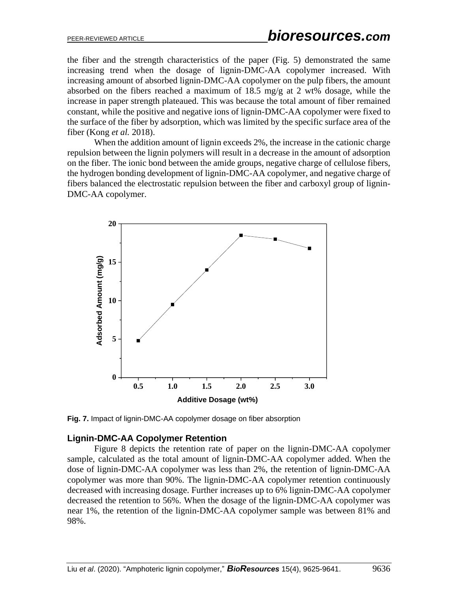the fiber and the strength characteristics of the paper (Fig. 5) demonstrated the same increasing trend when the dosage of lignin-DMC-AA copolymer increased. With increasing amount of absorbed lignin-DMC-AA copolymer on the pulp fibers, the amount absorbed on the fibers reached a maximum of 18.5 mg/g at 2 wt% dosage, while the increase in paper strength plateaued. This was because the total amount of fiber remained constant, while the positive and negative ions of lignin-DMC-AA copolymer were fixed to the surface of the fiber by adsorption, which was limited by the specific surface area of the fiber (Kong *et al.* 2018).

When the addition amount of lignin exceeds 2%, the increase in the cationic charge repulsion between the lignin polymers will result in a decrease in the amount of adsorption on the fiber. The ionic bond between the amide groups, negative charge of cellulose fibers, the hydrogen bonding development of lignin-DMC-AA copolymer, and negative charge of fibers balanced the electrostatic repulsion between the fiber and carboxyl group of lignin-DMC-AA copolymer.



**Fig. 7.** Impact of lignin-DMC-AA copolymer dosage on fiber absorption

#### **Lignin-DMC-AA Copolymer Retention**

Figure 8 depicts the retention rate of paper on the lignin-DMC-AA copolymer sample, calculated as the total amount of lignin-DMC-AA copolymer added. When the dose of lignin-DMC-AA copolymer was less than 2%, the retention of lignin-DMC-AA copolymer was more than 90%. The lignin-DMC-AA copolymer retention continuously decreased with increasing dosage. Further increases up to 6% lignin-DMC-AA copolymer decreased the retention to 56%. When the dosage of the lignin-DMC-AA copolymer was near 1%, the retention of the lignin-DMC-AA copolymer sample was between 81% and 98%.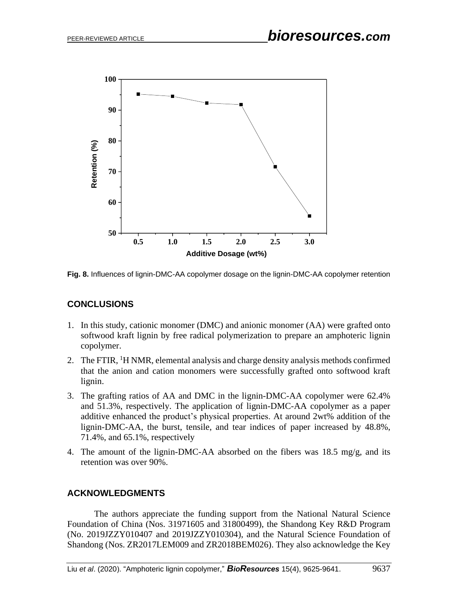

**Fig. 8.** Influences of lignin-DMC-AA copolymer dosage on the lignin-DMC-AA copolymer retention

#### **CONCLUSIONS**

- 1. In this study, cationic monomer (DMC) and anionic monomer (AA) were grafted onto softwood kraft lignin by free radical polymerization to prepare an amphoteric lignin copolymer.
- 2. The FTIR, <sup>1</sup>H NMR, elemental analysis and charge density analysis methods confirmed that the anion and cation monomers were successfully grafted onto softwood kraft lignin.
- 3. The grafting ratios of AA and DMC in the lignin-DMC-AA copolymer were 62.4% and 51.3%, respectively. The application of lignin-DMC-AA copolymer as a paper additive enhanced the product's physical properties. At around 2wt% addition of the lignin-DMC-AA, the burst, tensile, and tear indices of paper increased by 48.8%, 71.4%, and 65.1%, respectively
- 4. The amount of the lignin-DMC-AA absorbed on the fibers was 18.5 mg/g, and its retention was over 90%.

#### **ACKNOWLEDGMENTS**

The authors appreciate the funding support from the National Natural Science Foundation of China (Nos. 31971605 and 31800499), the Shandong Key R&D Program (No. 2019JZZY010407 and 2019JZZY010304), and the Natural Science Foundation of Shandong (Nos. ZR2017LEM009 and ZR2018BEM026). They also acknowledge the Key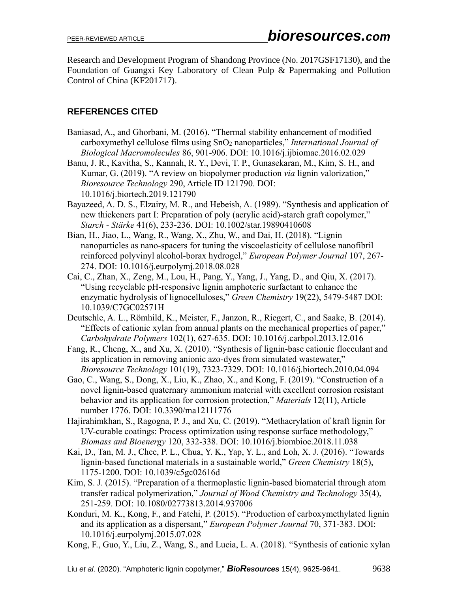Research and Development Program of Shandong Province (No. 2017GSF17130), and the Foundation of Guangxi Key Laboratory of Clean Pulp & Papermaking and Pollution Control of China (KF201717).

# **REFERENCES CITED**

- Baniasad, A., and Ghorbani, M. (2016). "Thermal stability enhancement of modified carboxymethyl cellulose films using SnO<sup>2</sup> nanoparticles," *International Journal of Biological Macromolecules* 86, 901-906. DOI: 10.1016/j.ijbiomac.2016.02.029
- Banu, J. R., Kavitha, S., Kannah, R. Y., Devi, T. P., Gunasekaran, M., Kim, S. H., and Kumar, G. (2019). "A review on biopolymer production *via* lignin valorization," *Bioresource Technology* 290, Article ID 121790. DOI: 10.1016/j.biortech.2019.121790
- Bayazeed, A. D. S., Elzairy, M. R., and Hebeish, A. (1989). "Synthesis and application of new thickeners part I: Preparation of poly (acrylic acid)-starch graft copolymer," *Starch - Stärke* 41(6), 233-236. DOI: 10.1002/star.19890410608
- Bian, H., Jiao, L., Wang, R., Wang, X., Zhu, W., and Dai, H. (2018). "Lignin nanoparticles as nano-spacers for tuning the viscoelasticity of cellulose nanofibril reinforced polyvinyl alcohol-borax hydrogel," *European Polymer Journal* 107, 267- 274. DOI: [10.1016/j.eurpolymj.2018.08.028](https://doi.org/10.1016/j.eurpolymj.2018.08.028)
- Cai, C., Zhan, X., Zeng, M., Lou, H., Pang, Y., Yang, J., Yang, D., and Qiu, X. (2017). "Using recyclable pH-responsive lignin amphoteric surfactant to enhance the enzymatic hydrolysis of lignocelluloses," *Green Chemistry* 19(22), 5479-5487 DOI: 10.1039/C7GC02571H
- Deutschle, A. L., Römhild, K., Meister, F., Janzon, R., Riegert, C., and Saake, B. (2014). "Effects of cationic xylan from annual plants on the mechanical properties of paper," *Carbohydrate Polymers* 102(1), 627-635. DOI: 10.1016/j.carbpol.2013.12.016
- Fang, R., Cheng, X., and Xu, X. (2010). "Synthesis of lignin-base cationic flocculant and its application in removing anionic azo-dyes from simulated wastewater," *Bioresource Technology* 101(19), 7323-7329. DOI: 10.1016/j.biortech.2010.04.094
- Gao, C., Wang, S., Dong, X., Liu, K., Zhao, X., and Kong, F. (2019). "Construction of a novel lignin-based quaternary ammonium material with excellent corrosion resistant behavior and its application for corrosion protection," *Materials* 12(11), Article number 1776. DOI: 10.3390/ma12111776
- Hajirahimkhan, S., Ragogna, P. J., and Xu, C. (2019). "Methacrylation of kraft lignin for UV-curable coatings: Process optimization using response surface methodology," *Biomass and Bioenergy* 120, 332-338. DOI: 10.1016/j.biombioe.2018.11.038
- Kai, D., Tan, M. J., Chee, P. L., Chua, Y. K., Yap, Y. L., and Loh, X. J. (2016). "Towards lignin-based functional materials in a sustainable world," *Green Chemistry* 18(5), 1175-1200. DOI: 10.1039/c5gc02616d
- Kim, S. J. (2015). "Preparation of a thermoplastic lignin-based biomaterial through atom transfer radical polymerization," *Journal of Wood Chemistry and Technology* 35(4), 251-259. DOI: 10.1080/02773813.2014.937006
- Konduri, M. K., Kong, F., and Fatehi, P. (2015). "Production of carboxymethylated lignin and its application as a dispersant," *European Polymer Journal* 70, 371-383. DOI: 10.1016/j.eurpolymj.2015.07.028
- Kong, F., Guo, Y., Liu, Z., Wang, S., and Lucia, L. A. (2018). "Synthesis of cationic xylan

Liu *et al*. (2020). "Amphoteric lignin copolymer," *BioResources* 15(4), 9625-9641. 9638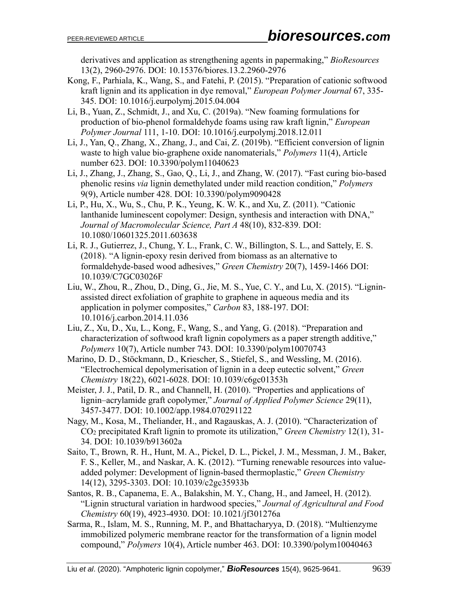derivatives and application as strengthening agents in papermaking," *BioResources* 13(2), 2960-2976. DOI: 10.15376/biores.13.2.2960-2976

- Kong, F., Parhiala, K., Wang, S., and Fatehi, P. (2015). "Preparation of cationic softwood kraft lignin and its application in dye removal," *European Polymer Journal* 67, 335- 345. DOI: 10.1016/j.eurpolymj.2015.04.004
- Li, B., Yuan, Z., Schmidt, J., and Xu, C. (2019a). "New foaming formulations for production of bio-phenol formaldehyde foams using raw kraft lignin," *European Polymer Journal* 111, 1-10. DOI: 10.1016/j.eurpolymj.2018.12.011
- Li, J., Yan, Q., Zhang, X., Zhang, J., and Cai, Z. (2019b). "Efficient conversion of lignin waste to high value bio-graphene oxide nanomaterials," *Polymers* 11(4), Article number 623. DOI: 10.3390/polym11040623
- Li, J., Zhang, J., Zhang, S., Gao, Q., Li, J., and Zhang, W. (2017). "Fast curing bio-based phenolic resins *via* lignin demethylated under mild reaction condition," *Polymers* 9(9), Article number 428. DOI: 10.3390/polym9090428
- Li, P., Hu, X., Wu, S., Chu, P. K., Yeung, K. W. K., and Xu, Z. (2011). "Cationic lanthanide luminescent copolymer: Design, synthesis and interaction with DNA," *Journal of Macromolecular Science, Part A* 48(10), 832-839. DOI: 10.1080/10601325.2011.603638
- Li, R. J., Gutierrez, J., Chung, Y. L., Frank, C. W., Billington, S. L., and Sattely, E. S. (2018). "A lignin-epoxy resin derived from biomass as an alternative to formaldehyde-based wood adhesives," *Green Chemistry* 20(7), 1459-1466 DOI: 10.1039/C7GC03026F
- Liu, W., Zhou, R., Zhou, D., Ding, G., Jie, M. S., Yue, C. Y., and Lu, X. (2015). "Ligninassisted direct exfoliation of graphite to graphene in aqueous media and its application in polymer composites," *Carbon* 83, 188-197. DOI: 10.1016/j.carbon.2014.11.036
- Liu, Z., Xu, D., Xu, L., Kong, F., Wang, S., and Yang, G. (2018). "Preparation and characterization of softwood kraft lignin copolymers as a paper strength additive," *Polymers* 10(7), Article number 743. DOI: 10.3390/polym10070743
- Marino, D. D., Stöckmann, D., Kriescher, S., Stiefel, S., and Wessling, M. (2016). "Electrochemical depolymerisation of lignin in a deep eutectic solvent," *Green Chemistry* 18(22), 6021-6028. DOI: 10.1039/c6gc01353h
- Meister, J. J., Patil, D. R., and Channell, H. (2010). "Properties and applications of lignin–acrylamide graft copolymer," *Journal of Applied Polymer Science* 29(11), 3457-3477. DOI: 10.1002/app.1984.070291122
- Nagy, M., Kosa, M., Theliander, H., and Ragauskas, A. J. (2010). "Characterization of CO<sup>2</sup> precipitated Kraft lignin to promote its utilization," *Green Chemistry* 12(1), 31- 34. DOI: 10.1039/b913602a
- Saito, T., Brown, R. H., Hunt, M. A., Pickel, D. L., Pickel, J. M., Messman, J. M., Baker, F. S., Keller, M., and Naskar, A. K. (2012). "Turning renewable resources into valueadded polymer: Development of lignin-based thermoplastic," *Green Chemistry* 14(12), 3295-3303. DOI: 10.1039/c2gc35933b
- Santos, R. B., Capanema, E. A., Balakshin, M. Y., Chang, H., and Jameel, H. (2012). "Lignin structural variation in hardwood species," *Journal of Agricultural and Food Chemistry* 60(19), 4923-4930. DOI: 10.1021/jf301276a
- Sarma, R., Islam, M. S., Running, M. P., and Bhattacharyya, D. (2018). "Multienzyme immobilized polymeric membrane reactor for the transformation of a lignin model compound," *Polymers* 10(4), Article number 463. DOI: 10.3390/polym10040463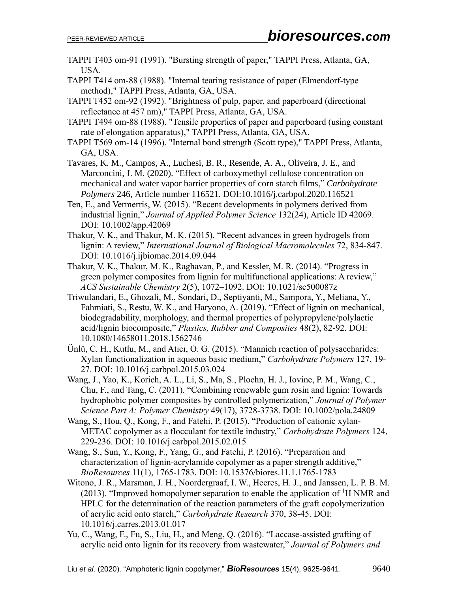- TAPPI T403 om-91 (1991). "Bursting strength of paper," TAPPI Press, Atlanta, GA, USA.
- TAPPI T414 om-88 (1988). "Internal tearing resistance of paper (Elmendorf-type method)," TAPPI Press, Atlanta, GA, USA.
- TAPPI T452 om-92 (1992). "Brightness of pulp, paper, and paperboard (directional reflectance at 457 nm)," TAPPI Press, Atlanta, GA, USA.
- TAPPI T494 om-88 (1988). "Tensile properties of paper and paperboard (using constant rate of elongation apparatus)," TAPPI Press, Atlanta, GA, USA.
- TAPPI T569 om-14 (1996). "Internal bond strength (Scott type)," TAPPI Press, Atlanta, GA, USA.
- Tavares, K. M., Campos, A., Luchesi, B. R., Resende, A. A., Oliveira, J. E., and Marconcini, J. M. (2020). "Effect of carboxymethyl cellulose concentration on mechanical and water vapor barrier properties of corn starch films," *Carbohydrate Polymers* 246, Article number 116521. DOI:10.1016/j.carbpol.2020.116521
- Ten, E., and Vermerris, W. (2015). "Recent developments in polymers derived from industrial lignin," *Journal of Applied Polymer Science* 132(24), Article ID 42069. DOI: 10.1002/app.42069
- Thakur, V. K., and Thakur, M. K. (2015). "Recent advances in green hydrogels from lignin: A review," *International Journal of Biological Macromolecules* 72, 834-847. DOI: 10.1016/j.ijbiomac.2014.09.044
- Thakur, V. K., Thakur, M. K., Raghavan, P., and Kessler, M. R. (2014). "Progress in green polymer composites from lignin for multifunctional applications: A review," *ACS Sustainable Chemistry* 2(5), 1072–1092. DOI: 10.1021/sc500087z
- Triwulandari, E., Ghozali, M., Sondari, D., Septiyanti, M., Sampora, Y., Meliana, Y., Fahmiati, S., Restu, W. K., and Haryono, A. (2019). "Effect of lignin on mechanical, biodegradability, morphology, and thermal properties of polypropylene/polylactic acid/lignin biocomposite," *Plastics, Rubber and Composites* 48(2), 82-92. DOI: 10.1080/14658011.2018.1562746
- Ünlü, C. H., Kutlu, M., and Atıcı, O. G. (2015). "Mannich reaction of polysaccharides: Xylan functionalization in aqueous basic medium," *Carbohydrate Polymers* 127, 19- 27. DOI: 10.1016/j.carbpol.2015.03.024
- Wang, J., Yao, K., Korich, A. L., Li, S., Ma, S., Ploehn, H. J., Iovine, P. M., Wang, C., Chu, F., and Tang, C. (2011). "Combining renewable gum rosin and lignin: Towards hydrophobic polymer composites by controlled polymerization," *Journal of Polymer Science Part A: Polymer Chemistry* 49(17), 3728-3738. DOI: 10.1002/pola.24809
- Wang, S., Hou, Q., Kong, F., and Fatehi, P. (2015). "Production of cationic xylan-METAC copolymer as a flocculant for textile industry," *Carbohydrate Polymers* 124, 229-236. DOI: 10.1016/j.carbpol.2015.02.015
- Wang, S., Sun, Y., Kong, F., Yang, G., and Fatehi, P. (2016). "Preparation and characterization of lignin-acrylamide copolymer as a paper strength additive," *BioResources* 11(1), 1765-1783. DOI: 10.15376/biores.11.1.1765-1783
- Witono, J. R., Marsman, J. H., Noordergraaf, I. W., Heeres, H. J., and Janssen, L. P. B. M. (2013). "Improved homopolymer separation to enable the application of  ${}^{1}H$  NMR and HPLC for the determination of the reaction parameters of the graft copolymerization of acrylic acid onto starch," *Carbohydrate Research* 370, 38-45. DOI: 10.1016/j.carres.2013.01.017
- Yu, C., Wang, F., Fu, S., Liu, H., and Meng, Q. (2016). "Laccase-assisted grafting of acrylic acid onto lignin for its recovery from wastewater," *Journal of Polymers and*